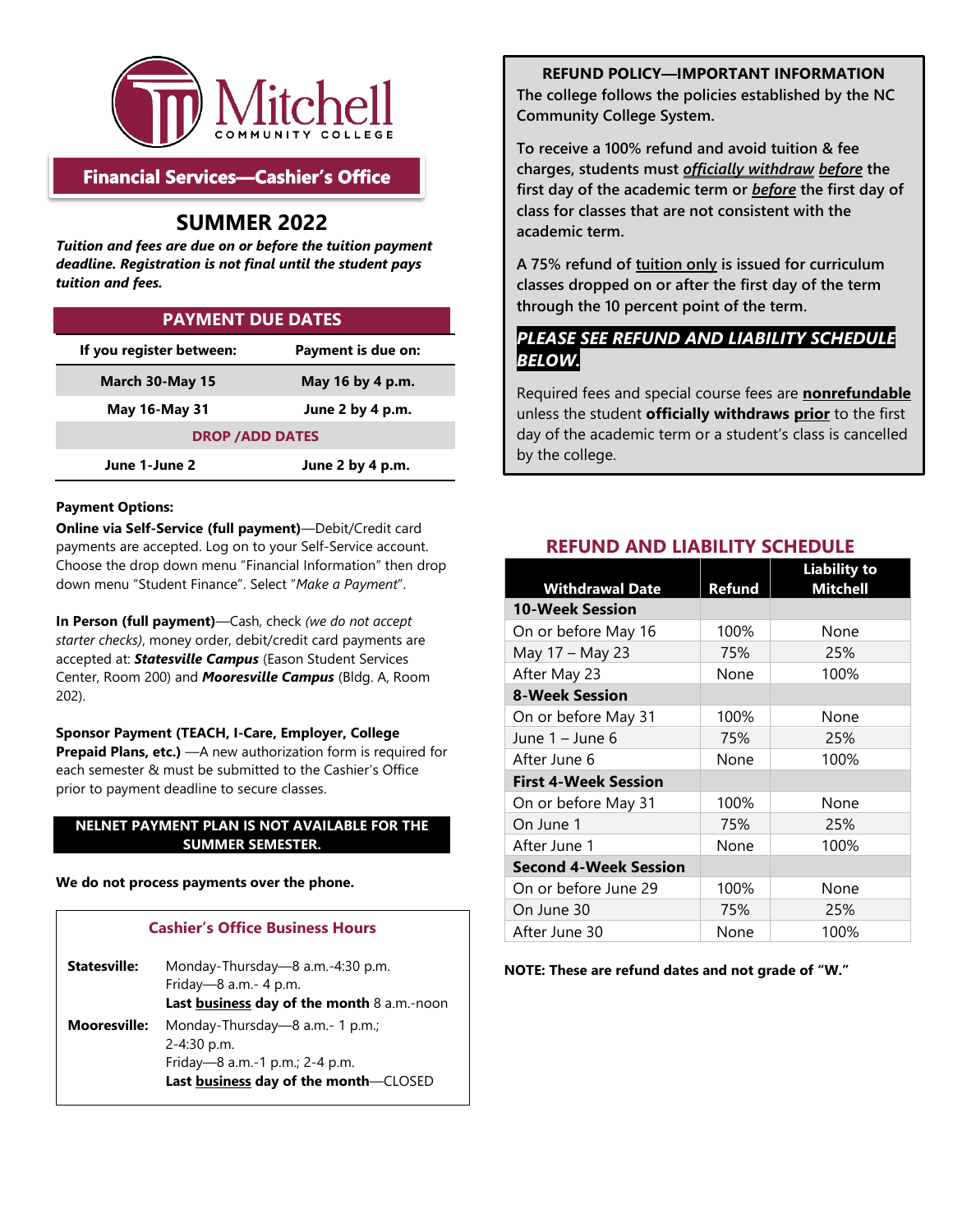

## **Financial Services-Cashier's Office**

## **SUMMER 2022**

 *deadline. Registration is not final until the student pays Tuition and fees are due on or before the tuition payment tuition and fees.* 

| <b>PAYMENT DUE DATES</b>                       |  |  |  |  |  |  |  |  |  |  |
|------------------------------------------------|--|--|--|--|--|--|--|--|--|--|
| If you register between:<br>Payment is due on: |  |  |  |  |  |  |  |  |  |  |
| March 30-May 15<br>May 16 by 4 p.m.            |  |  |  |  |  |  |  |  |  |  |
| <b>May 16-May 31</b><br>June 2 by 4 p.m.       |  |  |  |  |  |  |  |  |  |  |
| <b>DROP / ADD DATES</b>                        |  |  |  |  |  |  |  |  |  |  |
| June 1-June 2<br>June 2 by 4 p.m.              |  |  |  |  |  |  |  |  |  |  |

#### **Payment Options:**

 **Online via Self-Service (full payment)**—Debit/Credit card payments are accepted. Log on to your Self-Service account. Choose the drop down menu "Financial Information" then drop down menu "Student Finance". Select "*Make a Payment*".

 **In Person (full payment)**—Cash, check *(we do not accept starter checks)*, money order, debit/credit card payments are accepted at: *Statesville Campus* (Eason Student Services Center, Room 200) and *Mooresville Campus* (Bldg. A, Room 202).

**Prepaid Plans, etc.)** — A new authorization form is required for each semester & must be submitted to the Cashier's Office prior to payment deadline to secure classes. **Sponsor Payment (TEACH, I-Care, Employer, College** 

## **NELNET PAYMENT PLAN IS NOT AVAILABLE FOR THE SUMMER SEMESTER.**

 **We do not process payments over the phone.** 

## **Cashier's Office Business Hours**

| <b>Statesville:</b> | Monday-Thursday—8 a.m.-4:30 p.m.<br>Friday- $-8$ a.m.- 4 p.m.<br>Last business day of the month 8 a.m.-noon                   |
|---------------------|-------------------------------------------------------------------------------------------------------------------------------|
| <b>Mooresville:</b> | Monday-Thursday—8 a.m.- 1 p.m.;<br>$2 - 4:30$ p.m.<br>Friday-8 a.m.-1 p.m.; 2-4 p.m.<br>Last business day of the month-CLOSED |

**REFUND POLICY—IMPORTANT INFORMATION The college follows the policies established by the NC Community College System.** 

 **first day of the academic term or** *before* **the first day of To receive a 100% refund and avoid tuition & fee charges, students must** *officially withdraw before* **the class for classes that are not consistent with the academic term.** 

**A 75% refund of tuition only is issued for curriculum classes dropped on or after the first day of the term through the 10 percent point of the term.** 

## *PLEASE SEE REFUND AND LIABILITY SCHEDULE BELOW.*

 Required fees and special course fees are **nonrefundable**  day of the academic term or a student's class is cancelled unless the student **officially withdraws prior** to the first by the college.

|                              |               | <b>Liability to</b> |
|------------------------------|---------------|---------------------|
| <b>Withdrawal Date</b>       | <b>Refund</b> | <b>Mitchell</b>     |
| 10-Week Session              |               |                     |
| On or before May 16          | 100%          | None                |
| May 17 - May 23              | 75%           | 25%                 |
| After May 23                 | None          | 100%                |
| <b>8-Week Session</b>        |               |                     |
| On or before May 31          | 100%          | None                |
| June 1 – June 6              | 75%           | 25%                 |
| After June 6                 | None          | 100%                |
| <b>First 4-Week Session</b>  |               |                     |
| On or before May 31          | 100%          | None                |
| On June 1                    | 75%           | 25%                 |
| After June 1                 | None          | 100%                |
| <b>Second 4-Week Session</b> |               |                     |
| On or before June 29         | 100%          | None                |
| On June 30                   | 75%           | 25%                 |
| After June 30                | None          | 100%                |

## **REFUND AND LIABILITY SCHEDULE**

#### **NOTE: These are refund dates and not grade of "W."**